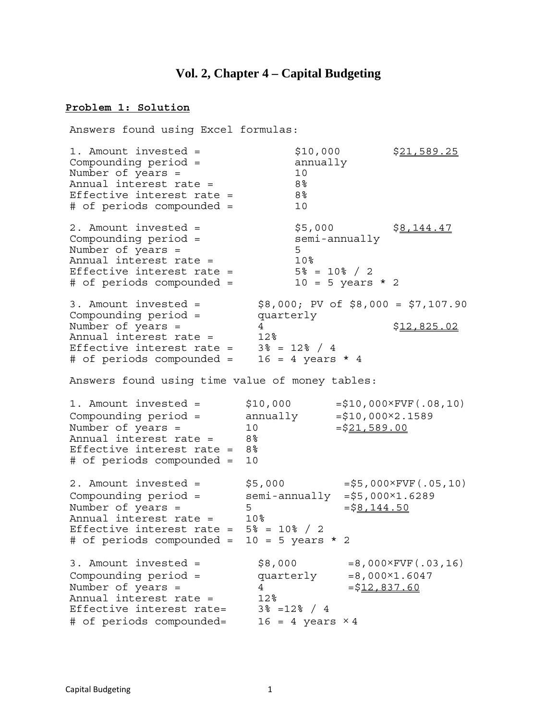### **Vol. 2, Chapter 4 – Capital Budgeting**

#### **Problem 1: Solution**

Answers found using Excel formulas: 1. Amount invested =  $$10,000$   $$21,589.25$ <br>Compounding period = annually Number of years = 10 Annual interest rate = 8% Effective interest rate = 8% # of periods compounded = 10 2. Amount invested =  $$5,000$   $$\underline{8,144.47}$$ <br>Compounding period = semi-annually Number of years = 5 Annual interest rate =  $10\%$ <br>Effective interest rate =  $5\%$  =  $10\%$  / 2 Effective interest rate =  $5\% = 10\% / 2$ # of periods compounded = 10 = 5 years \* 2 3. Amount invested = \$8,000; PV of \$8,000 = \$7,107.90 Compounding period = quarterly Number of years =  $4$ <br>Annual interest rate =  $12\%$ Effective interest rate =  $3\frac{8}{9}$  = 12% / 4 # of periods compounded = 16 = 4 years \* 4 Answers found using time value of money tables: 1. Amount invested =  $$10,000 = $10,000 \times FVF(.08,10)$ Compounding period =  $annually$  =\$10,000 $\times$ 2.1589 Number of years =  $10$  =  $\frac{21,589.00}{10}$ Annual interest rate = 8% Effective interest rate = 8% # of periods compounded = 10 2. Amount invested =  $$5,000$  =  $$5,000\times FVF(.05,10)$ Compounding  $period =$  semi-annually  $= $5,000 \times 1.6289$ Number of years =  $5 = $8,144.50$ Annual interest rate = 10% Effective interest rate =  $5\frac{8}{10\%}$  / 2 # of periods compounded = 10 = 5 years \* 2 3. Amount invested =  $$8,000$  =  $$8,000$  =  $8,000\times$  FVF(.03,16) Compounding period =  $quarterly$  =8,000 $\times1.6047$ Number of years =  $4 - $12,837.60$ Annual interest rate = 12% Effective interest rate= 3% =12% / 4 # of periods compounded=  $16 = 4$  years  $\times 4$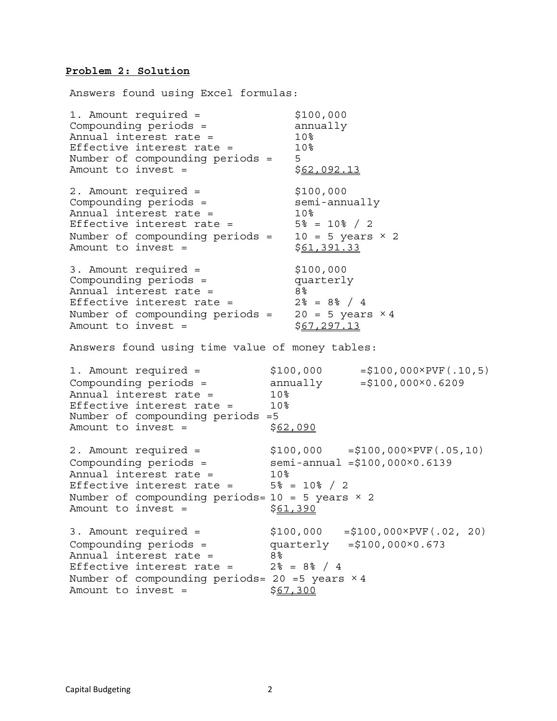#### **Problem 2: Solution**

Answers found using Excel formulas:

1. Amount required = \$100,000 Compounding periods = annually Annual interest rate =  $10<sup>8</sup>$ Effective interest rate = 10% Number of compounding periods = 5 Amount to invest =  $$62,092.13$ 2. Amount required = \$100,000 Compounding periods = semi-annually Annual interest rate = 10% Effective interest rate =  $5\frac{8}{10\%}$  / 2 Number of compounding periods =  $10 = 5$  years  $\times$  2 Amount to invest =  $$61,391.33$ 3. Amount required = \$100,000 Compounding periods = quarterly Annual interest rate = 8% Effective interest rate =  $2\% = 8\% / 4$ Number of compounding periods =  $20 = 5$  years  $\times 4$ <br>Amount to invest =  $$67,297.13$ Amount to invest  $=$ Answers found using time value of money tables: 1. Amount required = \$100,000 =\$100,000×PVF(.10,5) Compounding periods =  $\qquad \qquad \text{annually} \qquad \qquad = $100,000 \times 0.6209$ Annual interest rate = 10% Effective interest rate = 10% Number of compounding periods =5 Amount to invest =  $$62,090$ 2. Amount required = \$100,000 =\$100,000×PVF(.05,10) Compounding  $periods =$  semi-annual  $= $100,000 \times 0.6139$ Annual interest rate = 10% Effective interest rate =  $5\% = 10\% / 2$ Number of compounding periods=  $10 = 5$  years  $\times$  2 Amount to invest =  $$61,390$ 3. Amount required = \$100,000 =\$100,000×PVF(.02, 20) Compounding periods = quarterly =\$100,000×0.673 Annual interest rate = 8% Effective interest rate =  $2\frac{1}{6}$  = 8% / 4 Number of compounding periods= 20 =5 years  $\times$  4 Amount to invest =  $$67,300$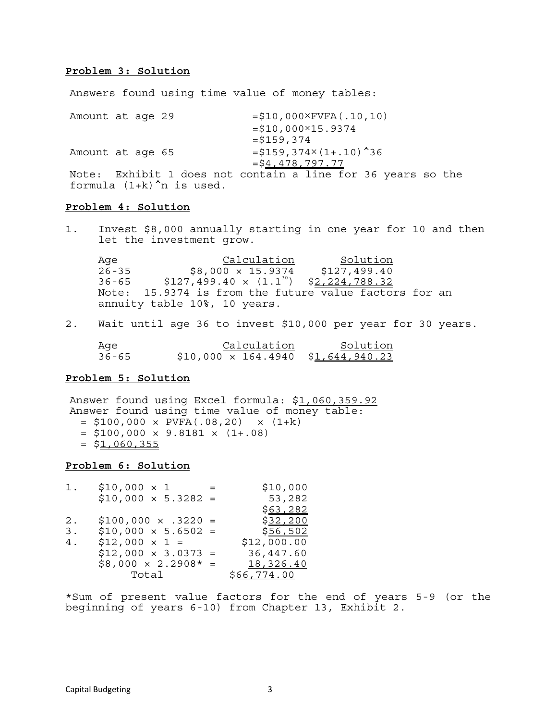### **Problem 3: Solution**

Answers found using time value of money tables:

Amount at age 29  $= $10,000\times FVFA(.10,10)$  $= $10,000 \times 15.9374$  $=$  $$159,374$ Amount at age 65  $= $159,374\times(1+.10)^{4}36$  $=$  $54,478,797.77$ Note: Exhibit 1 does not contain a line for 36 years so the formula  $(1+k)^n$  is used.

#### **Problem 4: Solution**

1. Invest \$8,000 annually starting in one year for 10 and then let the investment grow.

Age Calculation Solution 26-35 \$8,000 × 15.9374 \$127,499.40  $36-65$  \$127,499.40 x  $(1.1^{30})$  \$2,224,788.32 Note: 15.9374 is from the future value factors for an annuity table 10%, 10 years.

2. Wait until age 36 to invest \$10,000 per year for 30 years.

Age Calculation Solution 36-65 \$10,000 × 164.4940 \$1,644,940.23

#### **Problem 5: Solution**

Answer found using Excel formula: \$1,060,359.92 Answer found using time value of money table:  $= $100,000 \times PVFA(.08,20) \times (1+k)$  $=$  \$100,000  $\times$  9.8181  $\times$  (1+.08)  $=$  \$1,060,355

### **Problem 6: Solution**

| 1. | $$10,000 \times 1$<br>$\sim$ $\sim$ $\sim$ | \$10,000           |
|----|--------------------------------------------|--------------------|
|    | $$10,000 \times 5.3282 =$                  | 53,282             |
|    |                                            | \$63,282           |
| 2. | $$100,000 \times .3220 =$                  | <u>\$32,200</u>    |
| 3. | $$10,000 \times 5.6502 =$                  | \$56,502           |
| 4. | $$12,000 \times 1 =$                       | \$12,000.00        |
|    | $$12,000 \times 3.0373 =$                  | 36,447.60          |
|    | $$8,000 \times 2.2908* =$                  | 18,326.40          |
|    | Total                                      | <u>\$66,774.00</u> |

\*Sum of present value factors for the end of years 5-9 (or the beginning of years 6-10) from Chapter 13, Exhibit 2.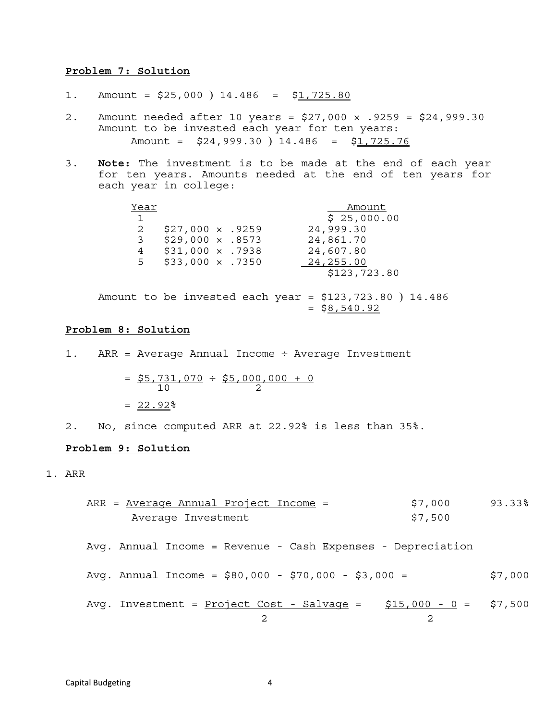#### **Problem 7: Solution**

- 1. Amount =  $$25,000$  ) 14.486 =  $$1,725.80$
- 2. Amount needed after 10 years = \$27,000 × .9259 = \$24,999.30 Amount to be invested each year for ten years: Amount =  $$24,999.30$  )  $14.486$  =  $$1,725.76$
- 3. **Note:** The investment is to be made at the end of each year for ten years. Amounts needed at the end of ten years for each year in college:

| Year         |                        |  | Amount       |  |
|--------------|------------------------|--|--------------|--|
| $\mathbf{1}$ |                        |  | \$25,000.00  |  |
| 2            | $$27,000 \times .9259$ |  | 24,999.30    |  |
| 3            | $$29,000 \times .8573$ |  | 24,861.70    |  |
| 4            | $$31,000 \times .7938$ |  | 24,607.80    |  |
| 5            | $$33,000 \times .7350$ |  | 24,255.00    |  |
|              |                        |  | \$123,723.80 |  |

Amount to be invested each year = \$123,723.80 ) 14.486  $=$  \$8,540.92

#### **Problem 8: Solution**

1. ARR = Average Annual Income ÷ Average Investment

 $=$  \$5,731,070  $\div$  \$5,000,000 + 0  $\frac{10}{2}$   $\frac{2}{2}$  $= 22.92%$ 

2. No, since computed ARR at 22.92% is less than 35%.

### **Problem 9: Solution**

1. ARR

| ARR = Average Annual Project Income = | \$7,000 | 93.33% |
|---------------------------------------|---------|--------|
| Average Investment                    | \$7,500 |        |

- Avg. Annual Income = Revenue Cash Expenses Depreciation
- Avq. Annual Income =  $$80,000 $70,000 $3,000 =$  \$7,000
- Avg. Investment =  $Project Cost Salvage = $15,000 0 = $7,500$ </u> 2 2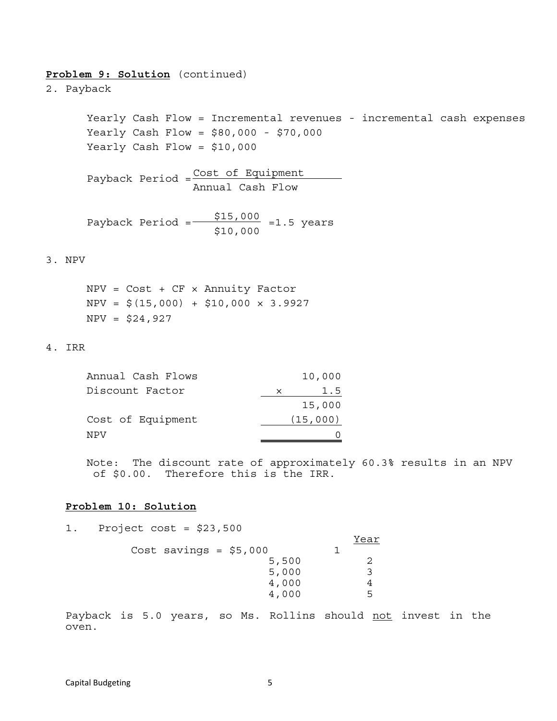### **Problem 9: Solution** (continued)

2. Payback

 Yearly Cash Flow = Incremental revenues - incremental cash expenses Yearly Cash Flow = \$80,000 - \$70,000 Yearly Cash Flow = \$10,000

Payback Period  $=\frac{\text{Cost of Equation}}{\text{Cov}}$ Annual Cash Flow

Payback Period =  $\frac{$15,000}{$15,000}$  =1.5 years  $$10,000$ 

### 3. NPV

 $NPV = Cost + CF \times Annuity Factor$  $NPV = $(15,000) + $10,000 \times 3.9927$  $NPV = $24,927$ 

### 4. IRR

| Annual Cash Flows |          | 10,000   |
|-------------------|----------|----------|
| Discount Factor   | $\times$ | 1.5      |
|                   |          | 15,000   |
| Cost of Equipment |          | (15,000) |
| NPV               |          |          |

Note: The discount rate of approximately 60.3% results in an NPV of \$0.00. Therefore this is the IRR.

### **Problem 10: Solution**

1. Project cost = \$23,500

|  |                         | Year |
|--|-------------------------|------|
|  | Cost savings = $$5,000$ |      |
|  | 5,500                   |      |
|  | 5,000                   |      |
|  | 4,000                   |      |
|  | 4,000                   |      |

Payback is 5.0 years, so Ms. Rollins should not invest in the oven.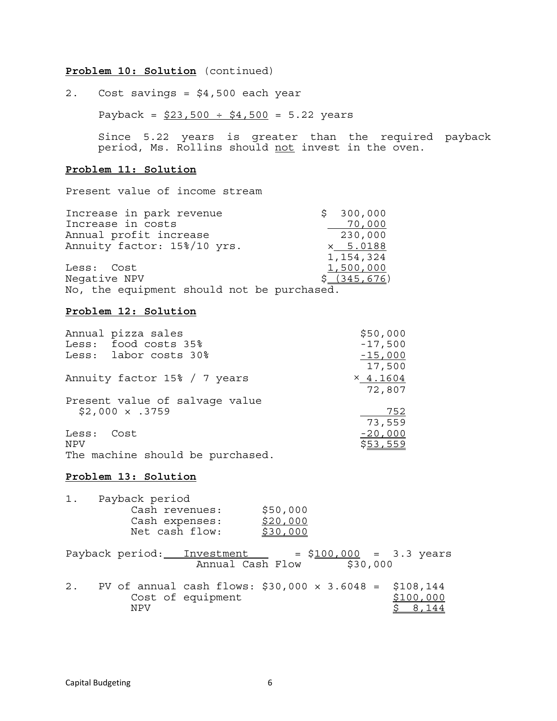### **Problem 10: Solution** (continued)

2. Cost savings = \$4,500 each year

Payback =  $$23,500 \div $4,500 = 5.22$  years

Since 5.22 years is greater than the required payback period, Ms. Rollins should not invest in the oven.

### **Problem 11: Solution**

Present value of income stream

| Increase in park revenue                    | \$300,000       |
|---------------------------------------------|-----------------|
| Increase in costs                           | 70,000          |
| Annual profit increase                      | 230,000         |
| Annuity factor: 15%/10 yrs.                 | $\times$ 5.0188 |
|                                             | 1,154,324       |
| Less: Cost                                  | 1,500,000       |
| Negative NPV                                | \$(345, 676)    |
| $M_0$ the equipment ghould not be purchased |                 |

No, the equipment should not be purchased.

### **Problem 12: Solution**

| Annual pizza sales             | \$50,000        |
|--------------------------------|-----------------|
| Less: food costs 35%           | $-17,500$       |
| Less: labor costs 30%          | $-15,000$       |
|                                | 17,500          |
| Annuity factor 15% / 7 years   | $\times$ 4.1604 |
|                                | 72,807          |
| Present value of salvage value |                 |
| $$2,000 \times .3759$          | 752             |
|                                | 73,559          |
| Less:<br>Cost                  | $-20,000$       |
| NPV                            | \$53,559        |
| $-1$                           |                 |

The machine should be purchased.

#### **Problem 13: Solution**

| $1$ . | Payback period |                                                                          |          |          |                                  |
|-------|----------------|--------------------------------------------------------------------------|----------|----------|----------------------------------|
|       | Cash revenues: |                                                                          | \$50,000 |          |                                  |
|       | Cash expenses: |                                                                          | \$20,000 |          |                                  |
|       | Net cash flow: |                                                                          | \$30,000 |          |                                  |
|       |                | Payback period: Investment<br>Annual Cash Flow                           |          | \$30,000 | $= $100,000 = 3.3 \text{ years}$ |
| 2.    | <b>NPV</b>     | PV of annual cash flows: \$30,000 $\times$ 3.6048 =<br>Cost of equipment |          |          | \$108,144<br>\$100,000<br>8,144  |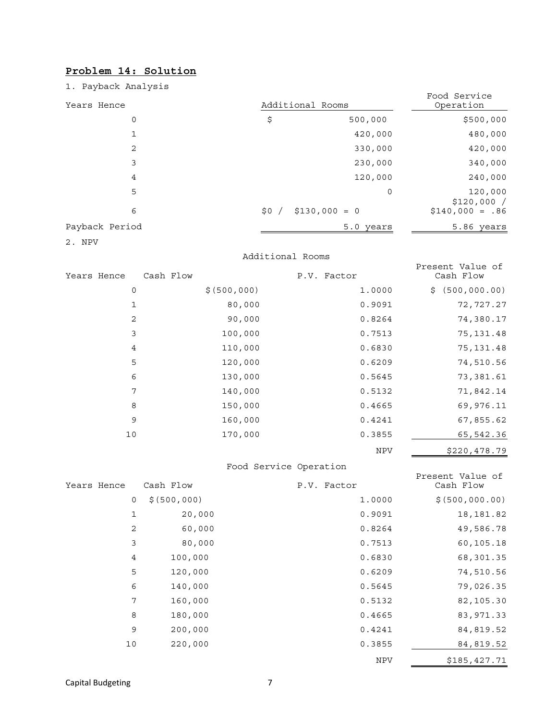## **Problem 14: Solution**

1. Payback Analysis

| Years Hence    | Additional Rooms |                | Food Service<br>Operation |
|----------------|------------------|----------------|---------------------------|
| 0              | \$               | 500,000        | \$500,000                 |
|                |                  | 420,000        | 480,000                   |
| 2              |                  | 330,000        | 420,000                   |
| 3              |                  | 230,000        | 340,000                   |
| 4              |                  | 120,000        | 240,000                   |
| 5              |                  | 0              | 120,000<br>\$120,000/     |
| 6              | \$0/             | $$130,000 = 0$ | $$140,000 = .86$          |
| Payback Period |                  | 5.0 years      | 5.86 years                |

2. NPV

#### Additional Rooms

| Years Hence | Cash Flow |               | P.V. Factor | Present Value of<br>Cash Flow |
|-------------|-----------|---------------|-------------|-------------------------------|
| $\mathbf 0$ |           | \$ (500, 000) | 1.0000      | \$(500,000.00)                |
| 1           |           | 80,000        | 0.9091      | 72,727.27                     |
| 2           |           | 90,000        | 0.8264      | 74,380.17                     |
| 3           |           | 100,000       | 0.7513      | 75, 131.48                    |
| 4           |           | 110,000       | 0.6830      | 75,131.48                     |
| 5           |           | 120,000       | 0.6209      | 74,510.56                     |
| 6           |           | 130,000       | 0.5645      | 73,381.61                     |
| 7           |           | 140,000       | 0.5132      | 71,842.14                     |
| 8           |           | 150,000       | 0.4665      | 69,976.11                     |
| 9           |           | 160,000       | 0.4241      | 67,855.62                     |
| 10          |           | 170,000       | 0.3855      | 65,542.36                     |
|             |           |               | <b>NPV</b>  | \$220,478.79                  |

### Food Service Operation

|             |             |              | $0.000$ $0.0000$ $0.0000$ $0.0000$ |                               |
|-------------|-------------|--------------|------------------------------------|-------------------------------|
| Years Hence |             | Cash Flow    | P.V. Factor                        | Present Value of<br>Cash Flow |
|             | 0           | \$(500, 000) | 1.0000                             | \$ (500, 000.00)              |
|             | $\mathbf 1$ | 20,000       | 0.9091                             | 18, 181.82                    |
|             | 2           | 60,000       | 0.8264                             | 49,586.78                     |
|             | 3           | 80,000       | 0.7513                             | 60,105.18                     |
|             | 4           | 100,000      | 0.6830                             | 68,301.35                     |
|             | 5           | 120,000      | 0.6209                             | 74,510.56                     |
|             | 6           | 140,000      | 0.5645                             | 79,026.35                     |
|             | 7           | 160,000      | 0.5132                             | 82,105.30                     |
|             | 8           | 180,000      | 0.4665                             | 83,971.33                     |
|             | 9           | 200,000      | 0.4241                             | 84,819.52                     |
|             | 10          | 220,000      | 0.3855                             | 84, 819.52                    |
|             |             |              | <b>NPV</b>                         | \$185,427.71                  |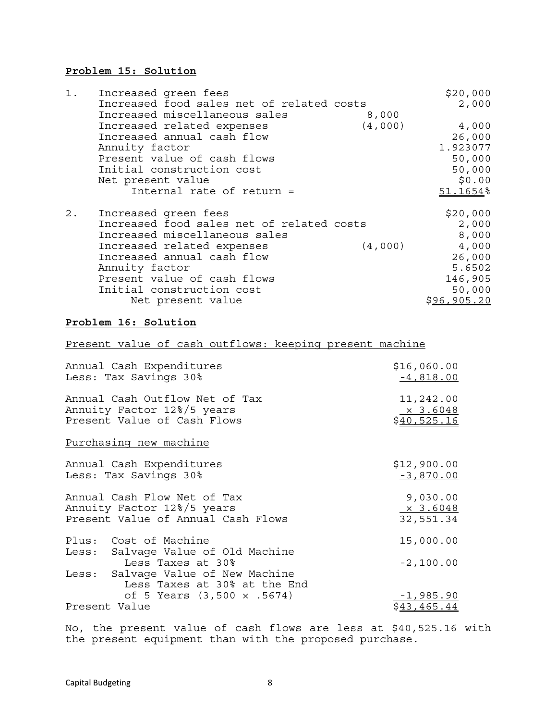### **Problem 15: Solution**

| 1. | Increased green fees                      |         | \$20,000    |
|----|-------------------------------------------|---------|-------------|
|    | Increased food sales net of related costs |         | 2,000       |
|    | Increased miscellaneous sales             | 8,000   |             |
|    | Increased related expenses                | (4,000) | 4,000       |
|    | Increased annual cash flow                |         | 26,000      |
|    | Annuity factor                            |         | 1.923077    |
|    | Present value of cash flows               |         | 50,000      |
|    | Initial construction cost                 |         | 50,000      |
|    | Net present value                         |         | \$0.00      |
|    | Internal rate of return =                 |         | 51.1654%    |
| 2. | Increased green fees                      |         | \$20,000    |
|    | Increased food sales net of related costs |         | 2,000       |
|    | Increased miscellaneous sales             |         | 8,000       |
|    | Increased related expenses                | (4,000) | 4,000       |
|    | Increased annual cash flow                |         | 26,000      |
|    | Annuity factor                            |         | 5.6502      |
|    | Present value of cash flows               |         | 146,905     |
|    | Initial construction cost                 |         | 50,000      |
|    | Net present value                         |         | \$96,905.20 |

### **Problem 16: Solution**

## Present value of cash outflows: keeping present machine

| Annual Cash Expenditures                                                                | \$16,060.00     |
|-----------------------------------------------------------------------------------------|-----------------|
| Less: Tax Savings 30%                                                                   | $-4,818.00$     |
| Annual Cash Outflow Net of Tax                                                          | 11,242.00       |
| Annuity Factor 12%/5 years                                                              | $\times$ 3.6048 |
| Present Value of Cash Flows                                                             | \$40,525.16     |
| Purchasing new machine                                                                  |                 |
| Annual Cash Expenditures                                                                | \$12,900.00     |
| Less: Tax Savings 30%                                                                   | $-3,870.00$     |
| Annual Cash Flow Net of Tax                                                             | 9,030.00        |
| Annuity Factor 12%/5 years                                                              | $\times$ 3.6048 |
| Present Value of Annual Cash Flows                                                      | 32,551.34       |
| Plus: Cost of Machine<br>Less: Salvage Value of Old Machine                             | 15,000.00       |
| Less Taxes at 30%<br>Less: Salvage Value of New Machine<br>Less Taxes at 30% at the End | $-2,100.00$     |
| of 5 Years $(3,500 \times .5674)$                                                       | $-1,985.90$     |
| Present Value                                                                           | \$43,465.44     |

No, the present value of cash flows are less at \$40,525.16 with the present equipment than with the proposed purchase.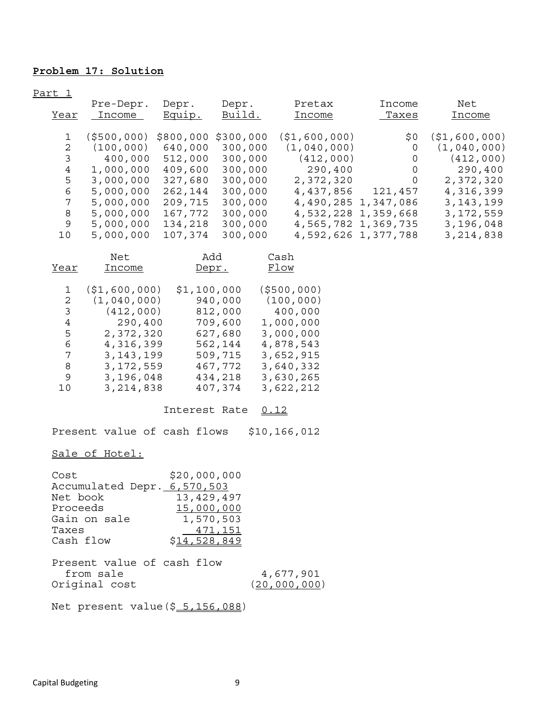## **Problem 17: Solution**

Part 1

|      | Pre-Depr.   | Depr.     | Depr.     | Pretax         | Income              | Net          |
|------|-------------|-----------|-----------|----------------|---------------------|--------------|
| Year | Income      | Equip.    | Build.    | Income         | Taxes               | Income       |
|      |             |           |           |                |                     |              |
|      | (\$500,000) | \$800,000 | \$300,000 | ( \$1,600,000) | \$0                 | (51,600,000) |
| 2    | (100, 000)  | 640,000   | 300,000   | (1,040,000)    | 0                   | (1,040,000)  |
|      | 400,000     | 512,000   | 300,000   | (412,000)      | 0                   | (412,000)    |
| 4    | 1,000,000   | 409,600   | 300,000   | 290,400        | 0                   | 290,400      |
| 5    | 3,000,000   | 327,680   | 300,000   | 2,372,320      | $\Omega$            | 2,372,320    |
| 6    | 5,000,000   | 262,144   | 300,000   | 4,437,856      | 121,457             | 4,316,399    |
| 7    | 5,000,000   | 209,715   | 300,000   |                | 4,490,285 1,347,086 | 3, 143, 199  |
| 8    | 5,000,000   | 167,772   | 300,000   |                | 4,532,228 1,359,668 | 3, 172, 559  |
| 9    | 5,000,000   | 134,218   | 300,000   |                | 4,565,782 1,369,735 | 3,196,048    |
| 10   | 5,000,000   | 107,374   | 300,000   |                | 4,592,626 1,377,788 | 3, 214, 838  |

|      | Net            | Add          | Cash          |
|------|----------------|--------------|---------------|
| Year | Income         | <u>Depr.</u> | Flow          |
|      |                |              |               |
| 1    | ( \$1,600,000) | \$1,100,000  | ( \$500, 000) |
| 2    | (1,040,000)    | 940,000      | (100, 000)    |
| 3    | (412,000)      | 812,000      | 400,000       |
| 4    | 290,400        | 709,600      | 1,000,000     |
| 5    | 2,372,320      | 627,680      | 3,000,000     |
| 6    | 4,316,399      | 562,144      | 4,878,543     |
| 7    | 3, 143, 199    | 509,715      | 3,652,915     |
| 8    | 3,172,559      | 467,772      | 3,640,332     |
| 9    | 3,196,048      | 434,218      | 3,630,265     |
| 10   | 3, 214, 838    | 407,374      | 3,622,212     |
|      |                |              |               |

Interest Rate 0.12

Present value of cash flows \$10,166,012

### Sale of Hotel:

| Cost                          | \$20,000,000        |                |
|-------------------------------|---------------------|----------------|
| Accumulated Depr. 6, 570, 503 |                     |                |
| Net book                      | 13,429,497          |                |
| Proceeds                      | 15,000,000          |                |
| Gain on sale                  | 1,570,503           |                |
| Taxes                         | 471,151             |                |
| Cash flow                     | <u>\$14,528,849</u> |                |
|                               |                     |                |
| Present value of cash flow    |                     |                |
| from sale                     |                     | 4,677,901      |
| Original cost                 |                     | (20, 000, 000) |

Net present value(\$ 5,156,088)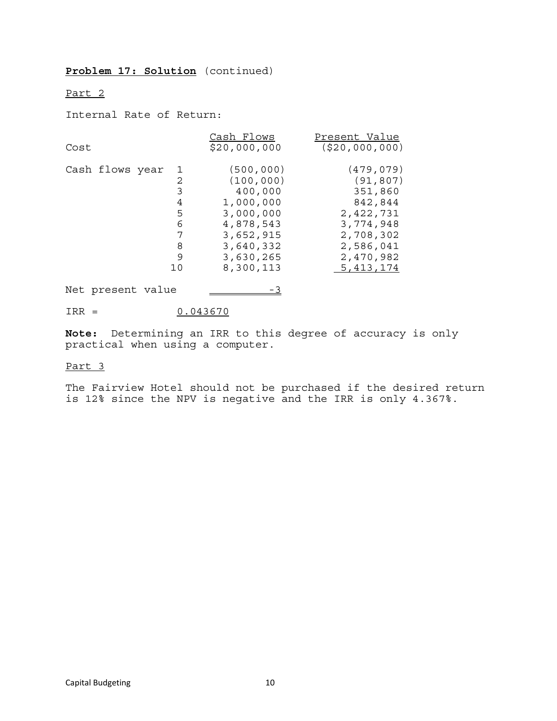### **Problem 17: Solution** (continued)

#### Part 2

Internal Rate of Return:

| Cost            |    | Cash Flows<br>\$20,000,000 | Present Value<br>( \$20,000,000) |
|-----------------|----|----------------------------|----------------------------------|
| Cash flows year | 1  | (500, 000)                 | (479, 079)                       |
|                 | 2  | (100, 000)                 | (91, 807)                        |
|                 | 3  | 400,000                    | 351,860                          |
|                 | 4  | 1,000,000                  | 842,844                          |
|                 | 5  | 3,000,000                  | 2,422,731                        |
|                 | 6  | 4,878,543                  | 3,774,948                        |
|                 | 7  | 3,652,915                  | 2,708,302                        |
|                 | 8  | 3,640,332                  | 2,586,041                        |
|                 | 9  | 3,630,265                  | 2,470,982                        |
|                 | 10 | 8,300,113                  | 5, 413, 174                      |

Net present value  $\frac{3}{2}$ 

 $IRR = 0.043670$ 

**Note:** Determining an IRR to this degree of accuracy is only practical when using a computer.

### Part 3

The Fairview Hotel should not be purchased if the desired return is 12% since the NPV is negative and the IRR is only 4.367%.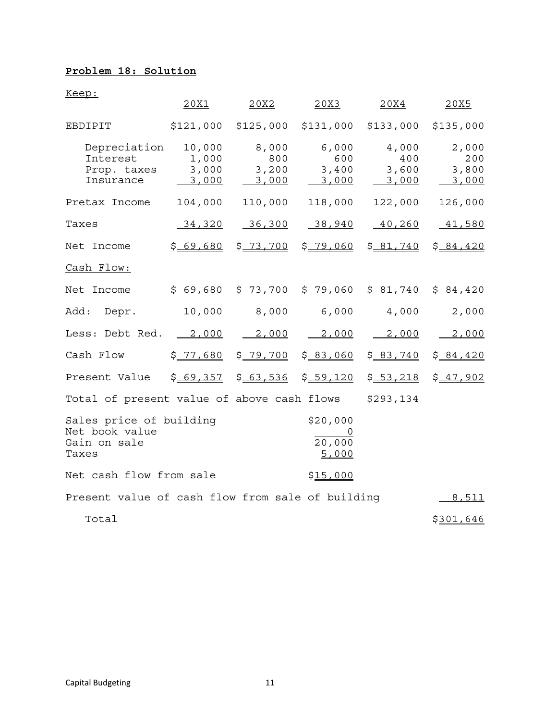## **Problem 18: Solution**

Keep:

|                                                                                                               | 20X1                              | 20X2                           | 20X3                                                   | 20X4                           | 20X5                           |  |
|---------------------------------------------------------------------------------------------------------------|-----------------------------------|--------------------------------|--------------------------------------------------------|--------------------------------|--------------------------------|--|
| EBDIPIT                                                                                                       |                                   |                                | $$121,000$ $$125,000$ $$131,000$ $$133,000$ $$135,000$ |                                |                                |  |
| Depreciation<br>Interest<br>Prop. taxes<br>Insurance                                                          | 10,000<br>1,000<br>3,000<br>3,000 | 8,000<br>800<br>3,200<br>3,000 | 6,000<br>600<br>3,400<br>3,000                         | 4,000<br>400<br>3,600<br>3,000 | 2,000<br>200<br>3,800<br>3,000 |  |
| Pretax Income                                                                                                 |                                   |                                | 104,000 110,000 118,000                                | 122,000                        | 126,000                        |  |
| Taxes                                                                                                         |                                   | $34,320$ $36,300$              | 38,940                                                 | 40,260                         | 41,580                         |  |
| Net Income                                                                                                    | \$69,680                          | \$ 73,700                      | \$ 79,060                                              | \$81,740                       | \$84,420                       |  |
| Cash Flow:                                                                                                    |                                   |                                |                                                        |                                |                                |  |
| Net Income                                                                                                    |                                   |                                | $$69,680$ $$73,700$ $$79,060$ $$81,740$ $$84,420$      |                                |                                |  |
| Add:<br>Depr.                                                                                                 |                                   | 10,000 8,000 6,000             |                                                        | 4,000                          | 2,000                          |  |
| Less: Debt Red. <u>2,000</u>                                                                                  |                                   | 2,000                          |                                                        | $2,000$ $2,000$                | 2,000                          |  |
| Cash Flow                                                                                                     | \$ <u>77,680</u>                  | \$ <u>79,700</u>               |                                                        | $$83,060$ $$83,740$ $$84,420$  |                                |  |
| Present Value                                                                                                 |                                   |                                | $$69,357$ $$63,536$ $$59,120$ $$53,218$ $$47,902$      |                                |                                |  |
| Total of present value of above cash flows \$293,134                                                          |                                   |                                |                                                        |                                |                                |  |
| Sales price of building<br>\$20,000<br>Net book value<br>$\frac{0}{20,000}$<br>Gain on sale<br>5,000<br>Taxes |                                   |                                |                                                        |                                |                                |  |
| Net cash flow from sale                                                                                       |                                   |                                | \$15,000                                               |                                |                                |  |
| Present value of cash flow from sale of building                                                              |                                   |                                |                                                        |                                | 8,511                          |  |
| Total                                                                                                         |                                   |                                |                                                        |                                | \$301,646                      |  |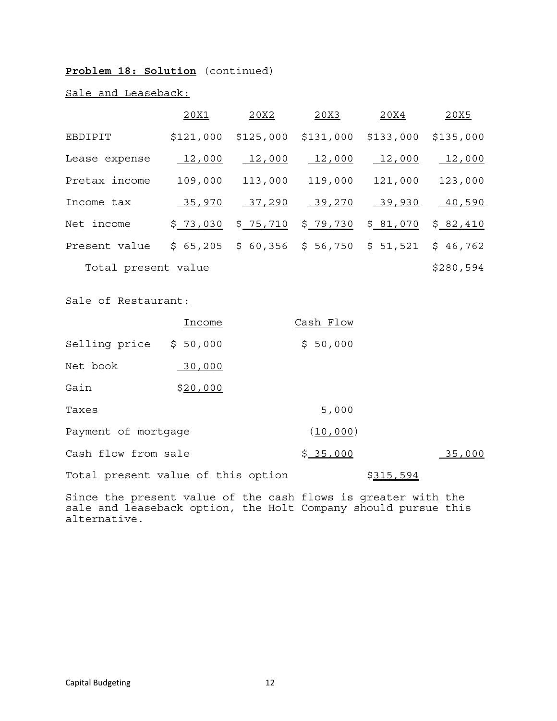### **Problem 18: Solution** (continued)

### Sale and Leaseback:

|                     | 20X1      | 20X2       | 20X3      | 20X4             | 20X5      |
|---------------------|-----------|------------|-----------|------------------|-----------|
| EBDIPIT             | \$121,000 | \$125,000  | \$131,000 | \$133,000        | \$135,000 |
| Lease expense       | 12,000    | 12,000     | 12,000    | 12,000           | 12,000    |
| Pretax income       | 109,000   | 113,000    | 119,000   | 121,000          | 123,000   |
| Income tax          | 35,970    | 37,290     | 39,270    | 39,930           | 40,590    |
| Net income          | \$ 73,030 | \$ 75, 710 | \$ 79,730 | \$ <u>81,070</u> | \$82,410  |
| Present value       | \$65,205  | \$60,356   | \$56,750  | \$51,521         | \$46,762  |
| Total present value |           |            |           |                  | \$280,594 |

### Sale of Restaurant:

|                     | Income                             | Cash Flow |                  |        |
|---------------------|------------------------------------|-----------|------------------|--------|
| Selling price       | \$50,000                           | \$50,000  |                  |        |
| Net book            | 30,000                             |           |                  |        |
| Gain                | \$20,000                           |           |                  |        |
| Taxes               |                                    | 5,000     |                  |        |
| Payment of mortgage |                                    | (10, 000) |                  |        |
| Cash flow from sale |                                    | \$35,000  |                  | 35,000 |
|                     | Total present value of this option |           | <u>\$315,594</u> |        |

Since the present value of the cash flows is greater with the sale and leaseback option, the Holt Company should pursue this alternative.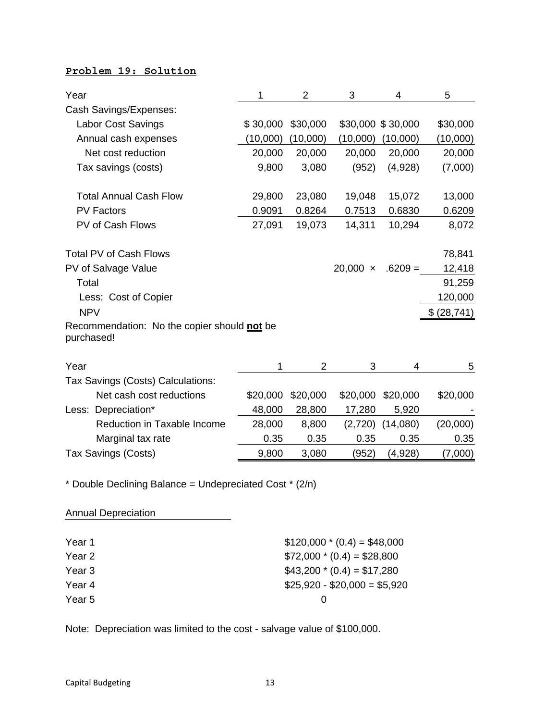## **Problem 19: Solution**

| Year                                                      | 1        | 2              | 3               | 4                 | 5            |
|-----------------------------------------------------------|----------|----------------|-----------------|-------------------|--------------|
| Cash Savings/Expenses:                                    |          |                |                 |                   |              |
| Labor Cost Savings                                        | \$30,000 | \$30,000       |                 | \$30,000 \$30,000 | \$30,000     |
| Annual cash expenses                                      | (10,000) | (10,000)       | (10,000)        | (10,000)          | (10,000)     |
| Net cost reduction                                        | 20,000   | 20,000         | 20,000          | 20,000            | 20,000       |
| Tax savings (costs)                                       | 9,800    | 3,080          | (952)           | (4,928)           | (7,000)      |
| <b>Total Annual Cash Flow</b>                             | 29,800   | 23,080         | 19,048          | 15,072            | 13,000       |
| <b>PV Factors</b>                                         | 0.9091   | 0.8264         | 0.7513          | 0.6830            | 0.6209       |
| PV of Cash Flows                                          | 27,091   | 19,073         | 14,311          | 10,294            | 8,072        |
| <b>Total PV of Cash Flows</b>                             |          |                |                 |                   | 78,841       |
| PV of Salvage Value                                       |          |                | 20,000 $\times$ | $.6209 =$         | 12,418       |
| Total                                                     |          |                |                 |                   | 91,259       |
| Less: Cost of Copier                                      |          |                |                 |                   | 120,000      |
| <b>NPV</b>                                                |          |                |                 |                   | \$ (28, 741) |
| Recommendation: No the copier should not be<br>purchased! |          |                |                 |                   |              |
| Year                                                      | 1        | $\overline{2}$ | 3               | 4                 | 5            |
| Tax Savings (Costs) Calculations:                         |          |                |                 |                   |              |
| Net cash cost reductions                                  | \$20,000 | \$20,000       | \$20,000        | \$20,000          | \$20,000     |
| Less: Depreciation*                                       | 48,000   | 28,800         | 17,280          | 5,920             |              |
| Reduction in Taxable Income                               | 28,000   | 8,800          | (2,720)         | (14,080)          | (20,000)     |
| Marginal tax rate                                         | 0.35     | 0.35           | 0.35            | 0.35              | 0.35         |
| Tax Savings (Costs)                                       | 9,800    | 3,080          | (952)           | (4,928)           | (7,000)      |

\* Double Declining Balance = Undepreciated Cost \* (2/n)

| <b>Annual Depreciation</b> |                              |
|----------------------------|------------------------------|
| Year 1                     | $$120,000 * (0.4) = $48,000$ |
| Year 2                     | $$72,000 * (0.4) = $28,800$  |
| Year 3                     | $$43,200 * (0.4) = $17,280$  |
| Year 4                     | $$25,920 - $20,000 = $5,920$ |
| Year 5                     | $\Omega$                     |

Note: Depreciation was limited to the cost - salvage value of \$100,000.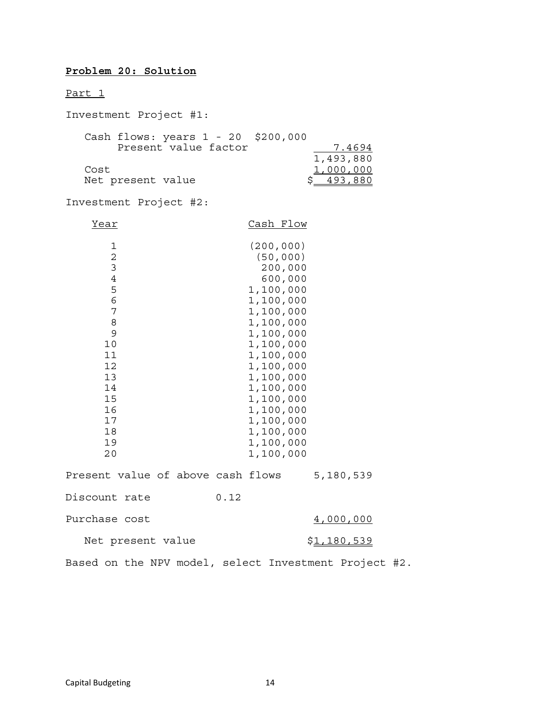## **Problem 20: Solution**

Part 1

| Investment Project #1:                                                                                                                |                                                                                                                                                                                                                                                               |
|---------------------------------------------------------------------------------------------------------------------------------------|---------------------------------------------------------------------------------------------------------------------------------------------------------------------------------------------------------------------------------------------------------------|
| Cash flows: years 1 - 20 \$200,000<br>Present value factor                                                                            | 7.4694<br>1,493,880                                                                                                                                                                                                                                           |
| Cost<br>Net present value                                                                                                             | 1,000,000<br>\$ 493,880                                                                                                                                                                                                                                       |
| Investment Project #2:                                                                                                                |                                                                                                                                                                                                                                                               |
| <u>Year</u>                                                                                                                           | Cash Flow                                                                                                                                                                                                                                                     |
| 1<br>$\overline{2}$<br>3<br>$\overline{4}$<br>5<br>6<br>7<br>8<br>9<br>10<br>11<br>12<br>13<br>14<br>15<br>16<br>17<br>18<br>19<br>20 | (200, 000)<br>(50, 000)<br>200,000<br>600,000<br>1,100,000<br>1,100,000<br>1,100,000<br>1,100,000<br>1,100,000<br>1,100,000<br>1,100,000<br>1,100,000<br>1,100,000<br>1,100,000<br>1,100,000<br>1,100,000<br>1,100,000<br>1,100,000<br>1,100,000<br>1,100,000 |
| Present value of above cash flows                                                                                                     | 5,180,539                                                                                                                                                                                                                                                     |
| Discount rate                                                                                                                         | 0.12                                                                                                                                                                                                                                                          |
| Purchase cost                                                                                                                         | <u>4,000,000</u>                                                                                                                                                                                                                                              |
| Net present value                                                                                                                     | <u>\$1,180,539</u>                                                                                                                                                                                                                                            |

Based on the NPV model, select Investment Project #2.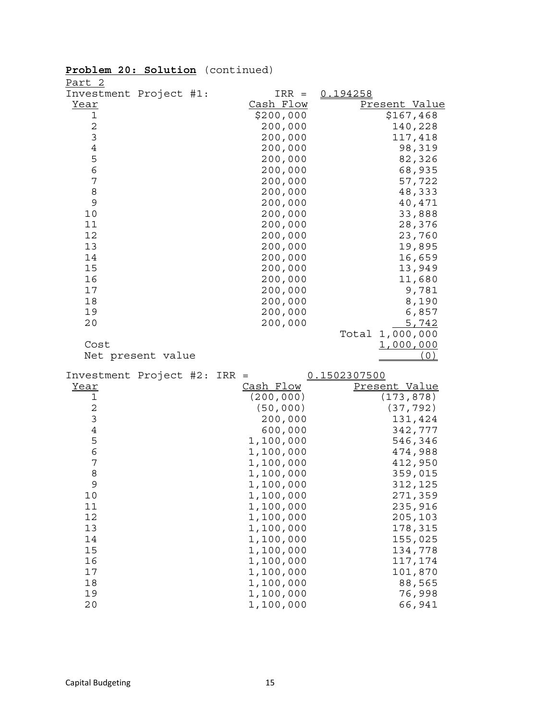| <u>Part 2</u>  |                        |                        |                    |
|----------------|------------------------|------------------------|--------------------|
|                | Investment Project #1: | $IRR =$                | 0.194258           |
| <u>Year</u>    |                        | Cash Flow              | Present Value      |
| 1              |                        | \$200,000              | \$167,468          |
| $\overline{c}$ |                        | 200,000                | 140,228            |
| 3              |                        | 200,000                | 117,418            |
| $\overline{4}$ |                        | 200,000                | 98,319             |
| 5              |                        | 200,000                | 82,326             |
| $\epsilon$     |                        | 200,000                | 68,935             |
| 7              |                        | 200,000                | 57,722             |
| 8<br>9         |                        | 200,000                | 48,333             |
| 10             |                        | 200,000<br>200,000     | 40,471<br>33,888   |
| 11             |                        | 200,000                | 28,376             |
| 12             |                        | 200,000                | 23,760             |
| 13             |                        | 200,000                | 19,895             |
| 14             |                        | 200,000                | 16,659             |
| 15             |                        | 200,000                | 13,949             |
| 16             |                        | 200,000                | 11,680             |
| 17             |                        | 200,000                | 9,781              |
| 18             |                        | 200,000                | 8,190              |
| 19             |                        | 200,000                | 6,857              |
| 20             |                        | 200,000                | 5,742              |
|                |                        |                        | Total 1,000,000    |
| Cost           |                        |                        | <u>1,000,000</u>   |
|                | Net present value      |                        |                    |
|                | Investment Project #2: | $IRR =$                | 0.1502307500       |
| Year           |                        | Cash Flow              | Present Value      |
| 1              |                        | (200, 000)             | (173, 878)         |
| 2              |                        | (50, 000)              | (37, 792)          |
| 3              |                        | 200,000                | 131,424            |
| $\,4$          |                        | 600,000                | 342,777            |
| 5              |                        | 1,100,000              | 546,346            |
| 6              |                        | 1,100,000              | 474,988            |
| 7              |                        | 1,100,000              | 412,950            |
| 8              |                        | 1,100,000              | 359,015            |
| 9              |                        | 1,100,000              | 312,125            |
| 10<br>11       |                        | 1,100,000<br>1,100,000 | 271,359<br>235,916 |
| 12             |                        | 1,100,000              | 205,103            |
| 13             |                        | 1,100,000              | 178,315            |
| 14             |                        | 1,100,000              | 155,025            |
| 15             |                        | 1,100,000              | 134,778            |
| 16             |                        | 1,100,000              | 117,174            |
| 17             |                        | 1,100,000              | 101,870            |
| 18             |                        | 1,100,000              | 88,565             |
| 19             |                        | 1,100,000              | 76,998             |
| 20             |                        | 1,100,000              | 66,941             |

# **Problem 20: Solution** (continued)